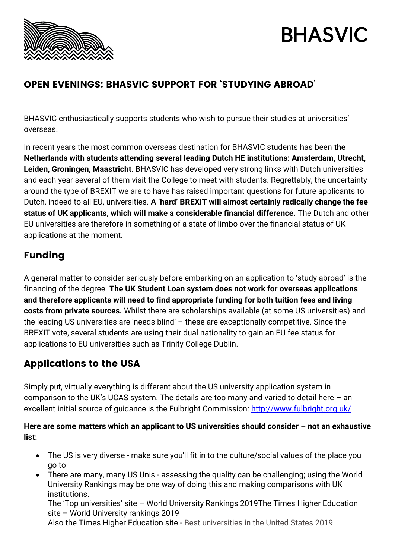

# **BHASVIC**

## OPEN EVENINGS: BHASVIC SUPPORT FOR 'STUDYING ABROAD'

BHASVIC enthusiastically supports students who wish to pursue their studies at universities' overseas.

In recent years the most common overseas destination for BHASVIC students has been **the Netherlands with students attending several leading Dutch HE institutions: Amsterdam, Utrecht, Leiden, Groningen, Maastricht**. BHASVIC has developed very strong links with Dutch universities and each year several of them visit the College to meet with students. Regrettably, the uncertainty around the type of BREXIT we are to have has raised important questions for future applicants to Dutch, indeed to all EU, universities. **A 'hard' BREXIT will almost certainly radically change the fee status of UK applicants, which will make a considerable financial difference.** The Dutch and other EU universities are therefore in something of a state of limbo over the financial status of UK applications at the moment.

# Funding

A general matter to consider seriously before embarking on an application to 'study abroad' is the financing of the degree. **The UK Student Loan system does not work for overseas applications and therefore applicants will need to find appropriate funding for both tuition fees and living costs from private sources.** Whilst there are scholarships available (at some US universities) and the leading US universities are 'needs blind' – these are exceptionally competitive. Since the BREXIT vote, several students are using their dual nationality to gain an EU fee status for applications to EU universities such as Trinity College Dublin.

## Applications to the USA

Simply put, virtually everything is different about the US university application system in comparison to the UK's UCAS system. The details are too many and varied to detail here – an excellent initial source of guidance is the Fulbright Commission:<http://www.fulbright.org.uk/>

#### **Here are some matters which an applicant to US universities should consider – not an exhaustive list:**

- The US is very diverse make sure you'll fit in to the culture/social values of the place you go to
- There are many, many US Unis assessing the quality can be challenging; using the World University Rankings may be one way of doing this and making comparisons with UK institutions.

The 'Top universities' site – World University Rankings 2019The Times Higher Education site – World University rankings 2019

Also the Times Higher Education site - Best universities in the United States 2019